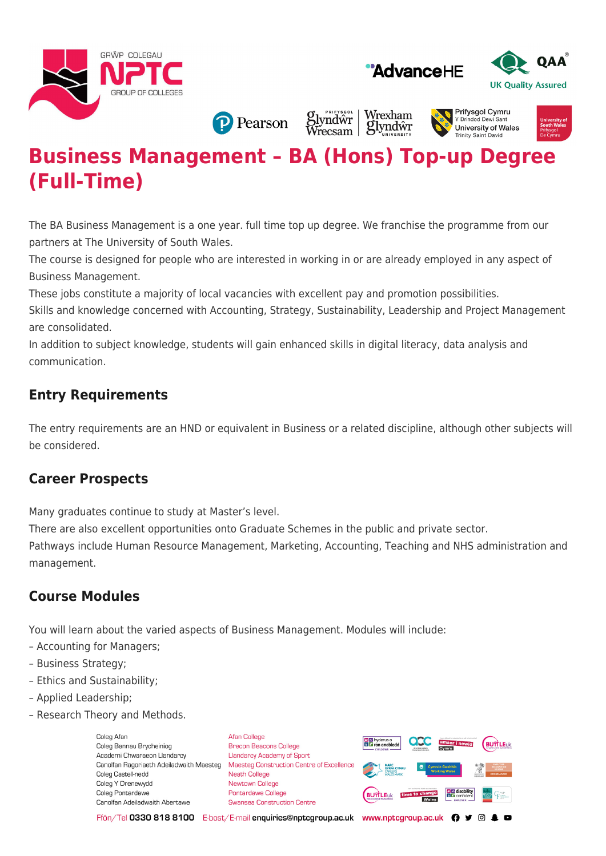





**P** Pearson

Wrexham **Slyndwr**<br>Wrecsam glyndŵr

#### **Prifysaol Cymru** Y Drindod Dew University of Wales **Trinity Saint David**



# **Business Management – BA (Hons) Top-up Degree (Full-Time)**

The BA Business Management is a one year. full time top up degree. We franchise the programme from our partners at The University of South Wales.

The course is designed for people who are interested in working in or are already employed in any aspect of Business Management.

These jobs constitute a majority of local vacancies with excellent pay and promotion possibilities.

Skills and knowledge concerned with Accounting, Strategy, Sustainability, Leadership and Project Management are consolidated.

In addition to subject knowledge, students will gain enhanced skills in digital literacy, data analysis and communication.

## **Entry Requirements**

The entry requirements are an HND or equivalent in Business or a related discipline, although other subjects will be considered.

#### **Career Prospects**

Many graduates continue to study at Master's level.

There are also excellent opportunities onto Graduate Schemes in the public and private sector.

Pathways include Human Resource Management, Marketing, Accounting, Teaching and NHS administration and management.

### **Course Modules**

You will learn about the varied aspects of Business Management. Modules will include:

- Accounting for Managers;
- Business Strategy;
- Ethics and Sustainability;
- Applied Leadership;
- Research Theory and Methods.

Coleg Afar Coleg Bannau Brycheiniog Academi Chwaraeon Llandarcy Canolfan Ragoriaeth Adeiladwaith Maesteg Coleg Castell-nedd Coleg Y Drenewydd Coleg Pontardawe Canolfan Adeiladwaith Abertawe

**Afan College** Brecon Beacons College **Llandarcy Academy of Sport** Maesteg Construction Centre of Excellence Neath College Newtown College **Pontardawe College** Swansea Construction Centre



Ffôn/Tel 0330 818 8100 E-bost/E-mail enquiries@nptcgroup.ac.uk www.nptcgroup.ac.uk ? • © \$